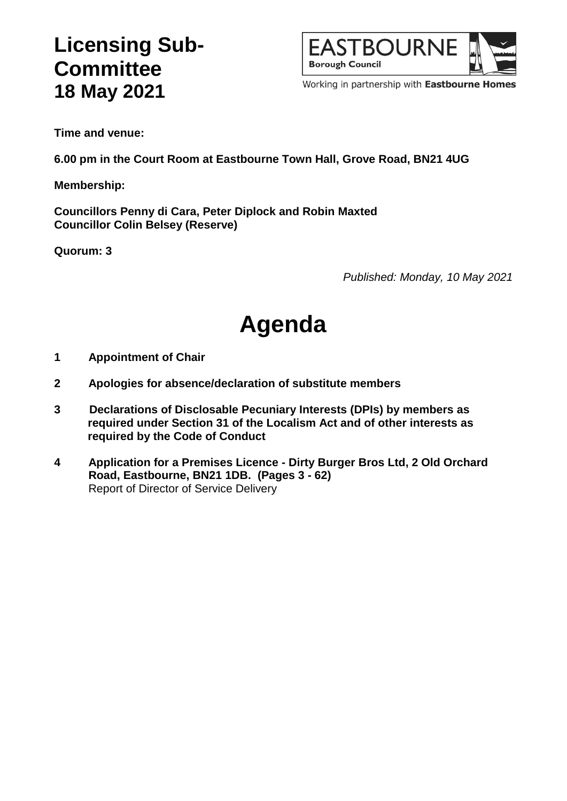## **Licensing Sub-Committee 18 May 2021**



Working in partnership with Eastbourne Homes

**Time and venue:**

**6.00 pm in the Court Room at Eastbourne Town Hall, Grove Road, BN21 4UG**

**Membership:**

**Councillors Penny di Cara, Peter Diplock and Robin Maxted Councillor Colin Belsey (Reserve)**

**Quorum: 3**

*Published: Monday, 10 May 2021*

# **Agenda**

- **1 Appointment of Chair**
- **2 Apologies for absence/declaration of substitute members**
- **3 Declarations of Disclosable Pecuniary Interests (DPIs) by members as required under Section 31 of the Localism Act and of other interests as required by the Code of Conduct**
- **4 Application for a Premises Licence - Dirty Burger Bros Ltd, 2 Old Orchard Road, Eastbourne, BN21 1DB. (Pages 3 - 62)** Report of Director of Service Delivery